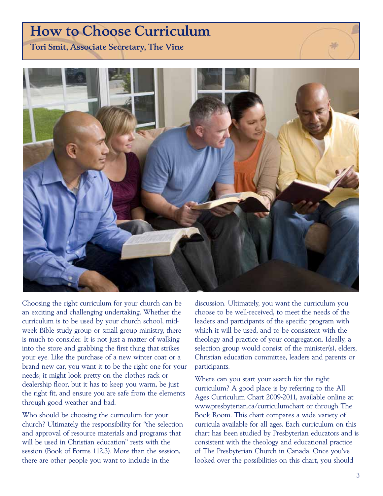# How to Choose Curriculum

Tori Smit, Associate Secretary, The Vine



Choosing the right curriculum for your church can be an exciting and challenging undertaking. Whether the curriculum is to be used by your church school, midweek Bible study group or small group ministry, there is much to consider. It is not just a matter of walking into the store and grabbing the first thing that strikes your eye. Like the purchase of a new winter coat or a brand new car, you want it to be the right one for your needs; it might look pretty on the clothes rack or dealership floor, but it has to keep you warm, be just the right fit, and ensure you are safe from the elements through good weather and bad.

Who should be choosing the curriculum for your church? Ultimately the responsibility for "the selection and approval of resource materials and programs that will be used in Christian education" rests with the session (Book of Forms 112.3). More than the session, there are other people you want to include in the

discussion. Ultimately, you want the curriculum you choose to be well-received, to meet the needs of the leaders and participants of the specific program with which it will be used, and to be consistent with the theology and practice of your congregation. Ideally, a selection group would consist of the minister(s), elders, Christian education committee, leaders and parents or participants.

Where can you start your search for the right curriculum? A good place is by referring to the All Ages Curriculum Chart 2009–2011, available online at www.presbyterian.ca/curriculumchart or through The Book Room. This chart compares a wide variety of curricula available for all ages. Each curriculum on this chart has been studied by Presbyterian educators and is consistent with the theology and educational practice of The Presbyterian Church in Canada. Once you've looked over the possibilities on this chart, you should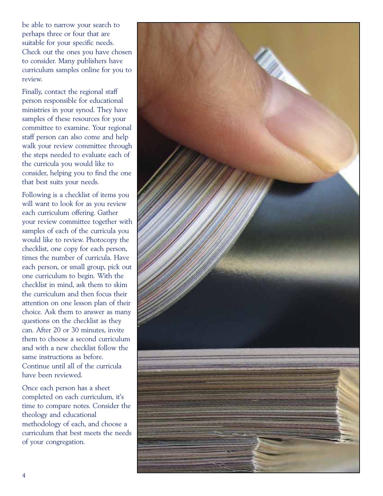be able to narrow your search to perhaps three or four that are suitable for your specific needs. Check out the ones you have chosen to consider. Many publishers have curriculum samples online for you to review.

Finally, contact the regional staff person responsible for educational ministries in your synod. They have samples of these resources for your committee to examine. Your regional staff person can also come and help walk your review committee through the steps needed to evaluate each of the curricula you would like to consider, helping you to find the one that best suits your needs.

Following is a checklist of items you will want to look for as you review each curriculum offering. Gather your review committee together with samples of each of the curricula you would like to review. Photocopy the checklist, one copy for each person, times the number of curricula. Have each person, or small group, pick out one curriculum to begin. With the checklist in mind, ask them to skim the curriculum and then focus their attention on one lesson plan of their choice. Ask them to answer as many questions on the checklist as they can. After 20 or 30 minutes, invite them to choose a second curriculum and with a new checklist follow the same instructions as before. Continue until all of the curricula have been reviewed.

Once each person has a sheet completed on each curriculum, it's time to compare notes. Consider the theology and educational methodology of each, and choose a curriculum that best meets the needs of your congregation.

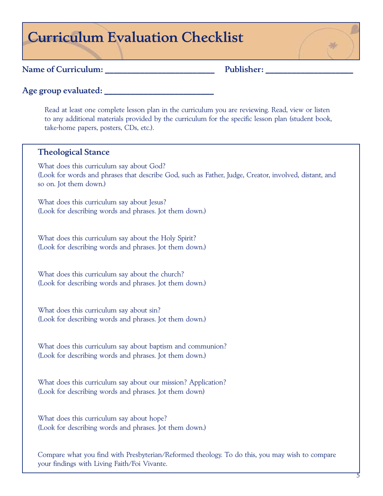# Curriculum Evaluation Checklist

### Name of Curriculum: The Publisher:

Age group evaluated:

Read at least one complete lesson plan in the curriculum you are reviewing. Read, view or listen to any additional materials provided by the curriculum for the specific lesson plan (student book, take-home papers, posters, CDs, etc.).

### Theological Stance

What does this curriculum say about God? (Look for words and phrases that describe God, such as Father, Judge, Creator, involved, distant, and so on. Jot them down.)

What does this curriculum say about Jesus? (Look for describing words and phrases. Jot them down.)

What does this curriculum say about the Holy Spirit? (Look for describing words and phrases. Jot them down.)

What does this curriculum say about the church? (Look for describing words and phrases. Jot them down.)

What does this curriculum say about sin? (Look for describing words and phrases. Jot them down.)

What does this curriculum say about baptism and communion? (Look for describing words and phrases. Jot them down.)

What does this curriculum say about our mission? Application? (Look for describing words and phrases. Jot them down)

What does this curriculum say about hope? (Look for describing words and phrases. Jot them down.)

Compare what you find with Presbyterian/Reformed theology. To do this, you may wish to compare your findings with Living Faith/Foi Vivante.